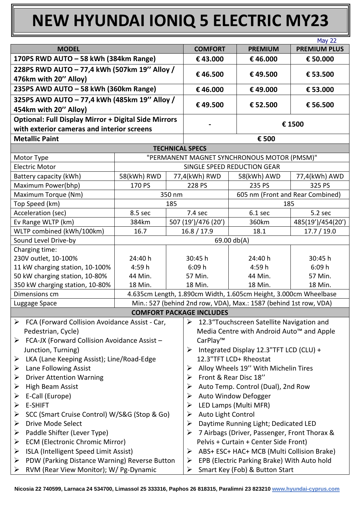## **NEW HYUNDAI IONIQ 5 ELECTRIC MY23**

|                                                                                                           |                                             |                                    |                                                                                                     |                                                                   | <b>May 22</b>       |  |
|-----------------------------------------------------------------------------------------------------------|---------------------------------------------|------------------------------------|-----------------------------------------------------------------------------------------------------|-------------------------------------------------------------------|---------------------|--|
| <b>MODEL</b>                                                                                              |                                             |                                    | <b>COMFORT</b>                                                                                      | <b>PREMIUM</b>                                                    | <b>PREMIUM PLUS</b> |  |
| 170PS RWD AUTO - 58 kWh (384km Range)                                                                     |                                             |                                    | €43.000                                                                                             | €46.000                                                           | € 50.000            |  |
| 228PS RWD AUTO - 77,4 kWh (507km 19" Alloy /                                                              |                                             |                                    |                                                                                                     |                                                                   |                     |  |
| 476km with 20" Alloy)                                                                                     |                                             |                                    | €46.500                                                                                             | €49.500                                                           | € 53.500            |  |
| 235PS AWD AUTO - 58 kWh (360km Range)                                                                     |                                             |                                    | €46.000                                                                                             | €49.000                                                           | € 53.000            |  |
| 325PS AWD AUTO - 77,4 kWh (485km 19" Alloy /<br>454km with 20" Alloy)                                     |                                             |                                    | €49.500                                                                                             | € 52.500                                                          | € 56.500            |  |
| <b>Optional: Full Display Mirror + Digital Side Mirrors</b><br>with exterior cameras and interior screens |                                             |                                    | € 1500                                                                                              |                                                                   |                     |  |
| <b>Metallic Paint</b>                                                                                     |                                             |                                    | € 500                                                                                               |                                                                   |                     |  |
|                                                                                                           |                                             |                                    | <b>TECHNICAL SPECS</b>                                                                              |                                                                   |                     |  |
| Motor Type                                                                                                | "PERMANENT MAGNET SYNCHRONOUS MOTOR (PMSM)" |                                    |                                                                                                     |                                                                   |                     |  |
| <b>Electric Motor</b>                                                                                     |                                             | SINGLE SPEED REDUCTION GEAR        |                                                                                                     |                                                                   |                     |  |
| Battery capacity (kWh)                                                                                    | 58(kWh) RWD                                 |                                    | 77,4(kWh) RWD                                                                                       | 58(kWh) AWD                                                       | 77,4(kWh) AWD       |  |
| Maximum Power(bhp)                                                                                        | 170 PS                                      | 228 PS                             |                                                                                                     | 235 PS                                                            | 325 PS              |  |
| Maximum Torque (Nm)                                                                                       | 350 nm                                      |                                    | 605 nm (Front and Rear Combined)                                                                    |                                                                   |                     |  |
| Top Speed (km)                                                                                            |                                             | 185                                |                                                                                                     | 185                                                               |                     |  |
| Acceleration (sec)                                                                                        | 8.5 sec                                     |                                    | 7.4 sec                                                                                             | 6.1 sec                                                           | 5.2 sec             |  |
| Ev Range WLTP (km)                                                                                        | 384km                                       | 507 (19')/476 (20')                |                                                                                                     | 360km                                                             | 485(19')/454(20')   |  |
| WLTP combined (kWh/100km)<br>16.7                                                                         |                                             | 16.8 / 17.9<br>17.7 / 19.0<br>18.1 |                                                                                                     |                                                                   |                     |  |
| Sound Level Drive-by                                                                                      |                                             |                                    | 69.00 db(A)                                                                                         |                                                                   |                     |  |
| Charging time:<br>230V outlet, 10-100%                                                                    | 24:40 h                                     |                                    |                                                                                                     | 24:40 h                                                           | 30:45 h             |  |
| 11 kW charging station, 10-100%                                                                           | 4:59h                                       | 30:45 h<br>6:09h                   |                                                                                                     | 4:59 h                                                            | 6:09h               |  |
| 50 kW charging station, 10-80%                                                                            | 44 Min.                                     | 57 Min.                            |                                                                                                     | 44 Min.                                                           | 57 Min.             |  |
| 350 kW charging station, 10-80%                                                                           | 18 Min.                                     | 18 Min.                            |                                                                                                     | 18 Min.                                                           | 18 Min.             |  |
| Dimensions cm                                                                                             |                                             |                                    |                                                                                                     | 4.635cm Length, 1.890cm Width, 1.605cm Height, 3.000cm Wheelbase  |                     |  |
| Luggage Space                                                                                             |                                             |                                    |                                                                                                     | Min.: 527 (behind 2nd row, VDA), Max.: 1587 (behind 1st row, VDA) |                     |  |
|                                                                                                           |                                             |                                    | <b>COMFORT PACKAGE INCLUDES</b>                                                                     |                                                                   |                     |  |
| FCA (Forward Collision Avoidance Assist - Car,<br>➤                                                       |                                             |                                    |                                                                                                     | $\triangleright$ 12.3" Touchscreen Satellite Navigation and       |                     |  |
| Pedestrian, Cycle)                                                                                        |                                             |                                    | Media Centre with Android Auto <sup>™</sup> and Apple                                               |                                                                   |                     |  |
| FCA-JX (Forward Collision Avoidance Assist -<br>➤                                                         |                                             |                                    | CarPlay™                                                                                            |                                                                   |                     |  |
| Junction, Turning)                                                                                        |                                             |                                    | > Integrated Display 12.3"TFT LCD (CLU) +                                                           |                                                                   |                     |  |
| LKA (Lane Keeping Assist); Line/Road-Edge<br>➤                                                            |                                             |                                    | 12.3"TFT LCD+ Rheostat                                                                              |                                                                   |                     |  |
| Lane Following Assist<br>➤                                                                                |                                             |                                    | Alloy Wheels 19" With Michelin Tires<br>➤                                                           |                                                                   |                     |  |
| <b>Driver Attention Warning</b><br>➤                                                                      |                                             |                                    | Front & Rear Disc 18"<br>➤                                                                          |                                                                   |                     |  |
| <b>High Beam Assist</b><br>➤                                                                              |                                             |                                    | Auto Temp. Control (Dual), 2nd Row<br>➤                                                             |                                                                   |                     |  |
| E-Call (Europe)<br>➤                                                                                      |                                             |                                    | Auto Window Defogger<br>➤                                                                           |                                                                   |                     |  |
| <b>E-SHIFT</b><br>➤                                                                                       |                                             |                                    | LED Lamps (Multi MFR)<br>➤                                                                          |                                                                   |                     |  |
| SCC (Smart Cruise Control) W/S&G (Stop & Go)<br>➤                                                         |                                             |                                    | Auto Light Control<br>⋗                                                                             |                                                                   |                     |  |
| <b>Drive Mode Select</b><br>➤                                                                             |                                             |                                    | Daytime Running Light; Dedicated LED<br>➤                                                           |                                                                   |                     |  |
| Paddle Shifter (Lever Type)<br>➤                                                                          |                                             |                                    | 7 Airbags (Driver, Passenger, Front Thorax &                                                        |                                                                   |                     |  |
| <b>ECM (Electronic Chromic Mirror)</b><br>➤                                                               | Pelvis + Curtain + Center Side Front)       |                                    |                                                                                                     |                                                                   |                     |  |
| ISLA (Intelligent Speed Limit Assist)<br>➤<br>PDW (Parking Distance Warning) Reverse Button<br>≻          |                                             |                                    | ABS+ ESC+ HAC+ MCB (Multi Collision Brake)<br>➤<br>EPB (Electric Parking Brake) With Auto hold<br>➤ |                                                                   |                     |  |
| RVM (Rear View Monitor); W/ Pg-Dynamic<br>➤                                                               |                                             |                                    |                                                                                                     |                                                                   |                     |  |
|                                                                                                           |                                             |                                    | Smart Key (Fob) & Button Start<br>⋗                                                                 |                                                                   |                     |  |

**Nicosia 22 740599, Larnaca 24 534700, Limassol 25 333316, Paphos 26 818315, Paralimni 23 823210 www.hyundai-cyprus.com**